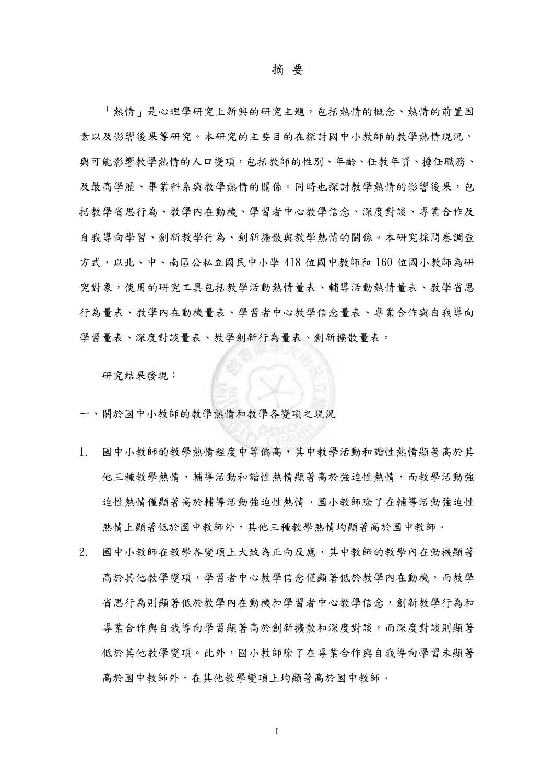## 摘 要

「熱情」是心理學研究上新興的研究主題,包括熱情的概念、熱情的前置因 素以及影響後果等研究。本研究的主要目的在探討國中小教師的教學熱情現況, 與可能影響教學熱情的人口變項,包括教師的性別、年齡、任教年資、擔任職務、 及最高學歷、畢業科系與教學熱情的關係。同時也探討教學熱情的影響後果,包 括教學省思行為、教學內在動機、學習者中心教學信念、深度對談、專業合作及 自我導向學習、創新教學行為、創新擴散與教學熱情的關係。本研究採問卷調查 方式,以北、中、南區公私立國民中小學 418 位國中教師和 160 位國小教師為研 究對象,使用的研究工具包括教學活動熱情量表、輔導活動熱情量表、教學省思 行為量表、教學內在動機量表、學習者中心教學信念量表、專業合作與自我導向 學習量表、深度對談量表、教學創新行為量表、創新擴散量表。

研究結果發現︰

- 一、關於國中小教師的教學熱情和教學各變項之現況
- 1. 國中小教師的教學熱情程度中等偏高,其中教學活動和諧性熱情顯著高於其 他三種教學熱情,輔導活動和諧性熱情顯著高於強迫性熱情,而教學活動強 迫性熱情僅顯著高於輔導活動強迫性熱情。國小教師除了在輔導活動強迫性 熱情上顯著低於國中教師外,其他三種教學熱情均顯著高於國中教師。
- 2. 國中小教師在教學各變項上大致為正向反應,其中教師的教學內在動機顯著 高於其他教學變項,學習者中心教學信念僅顯著低於教學內在動機,而教學 省思行為則顯著低於教學內在動機和學習者中心教學信念,創新教學行為和 專業合作與自我導向學習顯著高於創新擴散和深度對談,而深度對談則顯著 低於其他教學變項。此外,國小教師除了在專業合作與自我導向學習未顯著 高於國中教師外,在其他教學變項上均顯著高於國中教師。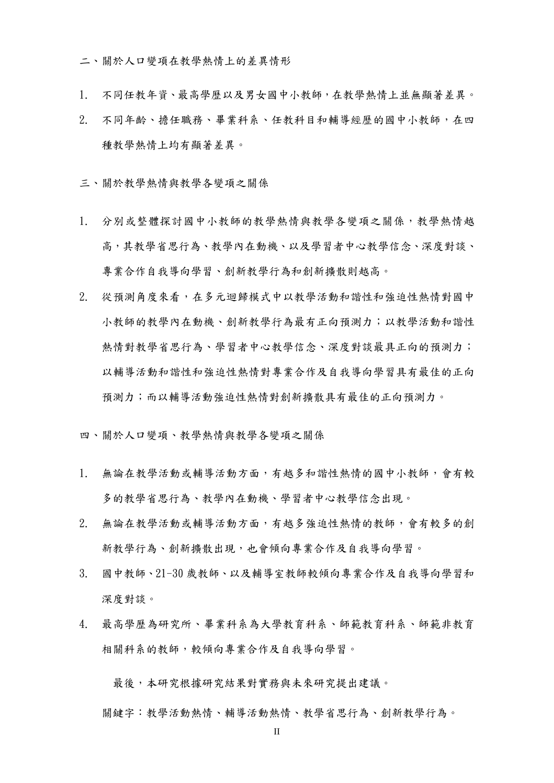二、關於人口變項在教學熱情上的差異情形

- 1. 不同任教年資、最高學歷以及男女國中小教師,在教學熱情上並無顯著差異。
- 2. 不同年齡、擔任職務、畢業科系、任教科目和輔導經歷的國中小教師,在四 種教學熱情上均有顯著差異。
- 三、關於教學熱情與教學各變項之關係
- 1. 分別或整體探討國中小教師的教學熱情與教學各變項之關係,教學熱情越 高,其教學省思行為、教學內在動機、以及學習者中心教學信念、深度對談、 專業合作自我導向學習、創新教學行為和創新擴散則越高。
- 2. 從預測角度來看,在多元迴歸模式中以教學活動和諧性和強迫性熱情對國中 小教師的教學內在動機、創新教學行為最有正向預測力;以教學活動和諧性 熱情對教學省思行為、學習者中心教學信念、深度對談最具正向的預測力; 以輔導活動和諧性和強迫性熱情對專業合作及自我導向學習具有最佳的正向 預測力;而以輔導活動強迫性熱情對創新擴散具有最佳的正向預測力。
- 四、關於人口變項、教學熱情與教學各變項之關係
- 1. 無論在教學活動或輔導活動方面,有越多和諧性熱情的國中小教師,會有較 多的教學省思行為、教學內在動機、學習者中心教學信念出現。
- 2. 無論在教學活動或輔導活動方面,有越多強迫性熱情的教師,會有較多的創 新教學行為、創新擴散出現,也會傾向專業合作及自我導向學習。
- 3. 國中教師、21-30 歲教師、以及輔導室教師較傾向專業合作及自我導向學習和 深度對談。
- 4. 最高學歷為研究所、畢業科系為大學教育科系、師範教育科系、師範非教育 相關科系的教師,較傾向專業合作及自我導向學習。

最後,本研究根據研究結果對實務與未來研究提出建議。

關鍵字:教學活動熱情、輔導活動熱情、教學省思行為、創新教學行為。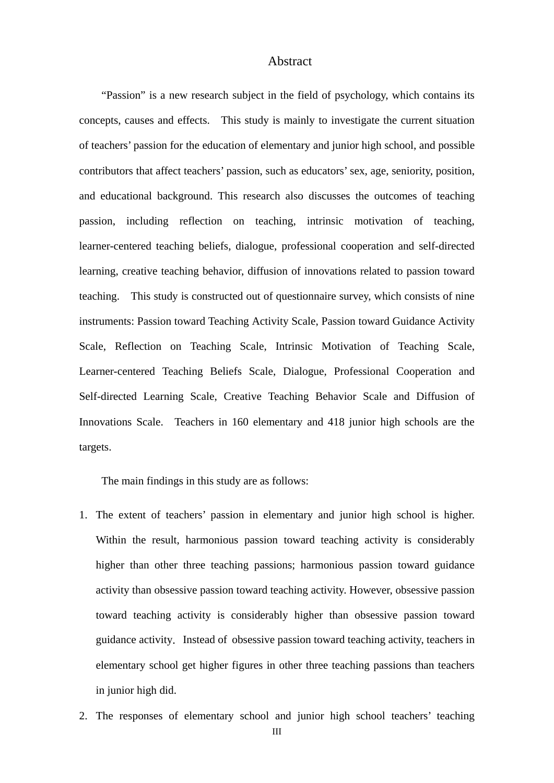## Abstract

"Passion" is a new research subject in the field of psychology, which contains its concepts, causes and effects. This study is mainly to investigate the current situation of teachers' passion for the education of elementary and junior high school, and possible contributors that affect teachers' passion, such as educators' sex, age, seniority, position, and educational background. This research also discusses the outcomes of teaching passion, including reflection on teaching, intrinsic motivation of teaching, learner-centered teaching beliefs, dialogue, professional cooperation and self-directed learning, creative teaching behavior, diffusion of innovations related to passion toward teaching. This study is constructed out of questionnaire survey, which consists of nine instruments: Passion toward Teaching Activity Scale, Passion toward Guidance Activity Scale, Reflection on Teaching Scale, Intrinsic Motivation of Teaching Scale, Learner-centered Teaching Beliefs Scale, Dialogue, Professional Cooperation and Self-directed Learning Scale, Creative Teaching Behavior Scale and Diffusion of Innovations Scale. Teachers in 160 elementary and 418 junior high schools are the targets.

The main findings in this study are as follows:

- 1. The extent of teachers' passion in elementary and junior high school is higher. Within the result, harmonious passion toward teaching activity is considerably higher than other three teaching passions; harmonious passion toward guidance activity than obsessive passion toward teaching activity. However, obsessive passion toward teaching activity is considerably higher than obsessive passion toward guidance activity. Instead of obsessive passion toward teaching activity, teachers in elementary school get higher figures in other three teaching passions than teachers in junior high did.
- 2. The responses of elementary school and junior high school teachers' teaching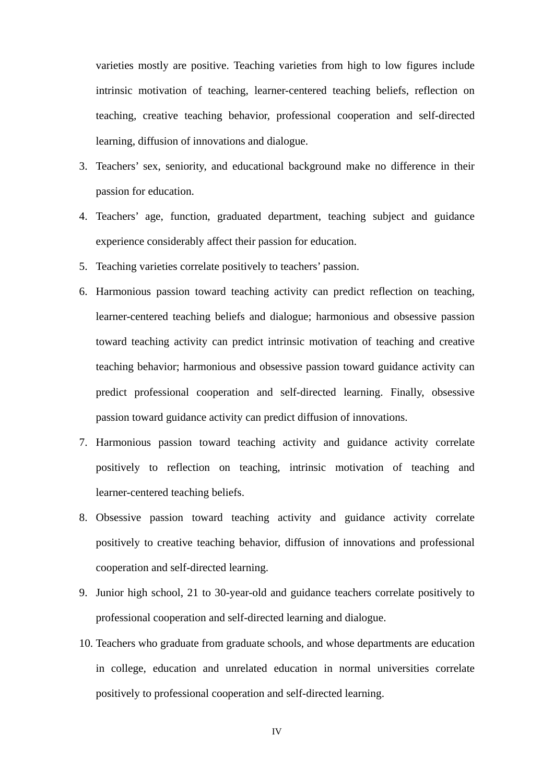varieties mostly are positive. Teaching varieties from high to low figures include intrinsic motivation of teaching, learner-centered teaching beliefs, reflection on teaching, creative teaching behavior, professional cooperation and self-directed learning, diffusion of innovations and dialogue.

- 3. Teachers' sex, seniority, and educational background make no difference in their passion for education.
- 4. Teachers' age, function, graduated department, teaching subject and guidance experience considerably affect their passion for education.
- 5. Teaching varieties correlate positively to teachers' passion.
- 6. Harmonious passion toward teaching activity can predict reflection on teaching, learner-centered teaching beliefs and dialogue; harmonious and obsessive passion toward teaching activity can predict intrinsic motivation of teaching and creative teaching behavior; harmonious and obsessive passion toward guidance activity can predict professional cooperation and self-directed learning. Finally, obsessive passion toward guidance activity can predict diffusion of innovations.
- 7. Harmonious passion toward teaching activity and guidance activity correlate positively to reflection on teaching, intrinsic motivation of teaching and learner-centered teaching beliefs.
- 8. Obsessive passion toward teaching activity and guidance activity correlate positively to creative teaching behavior, diffusion of innovations and professional cooperation and self-directed learning.
- 9. Junior high school, 21 to 30-year-old and guidance teachers correlate positively to professional cooperation and self-directed learning and dialogue.
- 10. Teachers who graduate from graduate schools, and whose departments are education in college, education and unrelated education in normal universities correlate positively to professional cooperation and self-directed learning.